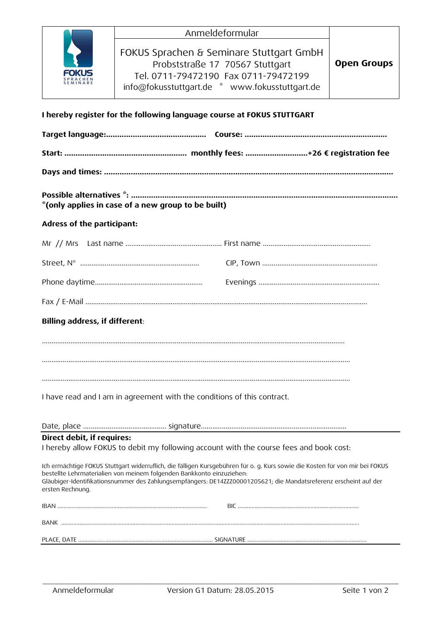| <b>FOKUS</b><br><b>SPRACHEN</b><br><b>SEMINARE</b> |  |
|----------------------------------------------------|--|

| Anmeldeformular                                                                                                                                                       |                    |
|-----------------------------------------------------------------------------------------------------------------------------------------------------------------------|--------------------|
| FOKUS Sprachen & Seminare Stuttgart GmbH<br>Probststraße 17 70567 Stuttgart<br>Tel. 0711-79472190 Fax 0711-79472199<br>info@fokusstuttgart.de * www.fokusstuttgart.de | <b>Open Groups</b> |

# **I hereby register for the following language course at FOKUS STUTTGART**

| *(only applies in case of a new group to be built)                                                                                                                                                                                                                                                                                             |  |  |  |  |
|------------------------------------------------------------------------------------------------------------------------------------------------------------------------------------------------------------------------------------------------------------------------------------------------------------------------------------------------|--|--|--|--|
| Adress of the participant:                                                                                                                                                                                                                                                                                                                     |  |  |  |  |
|                                                                                                                                                                                                                                                                                                                                                |  |  |  |  |
|                                                                                                                                                                                                                                                                                                                                                |  |  |  |  |
|                                                                                                                                                                                                                                                                                                                                                |  |  |  |  |
|                                                                                                                                                                                                                                                                                                                                                |  |  |  |  |
| Billing address, if different:                                                                                                                                                                                                                                                                                                                 |  |  |  |  |
|                                                                                                                                                                                                                                                                                                                                                |  |  |  |  |
|                                                                                                                                                                                                                                                                                                                                                |  |  |  |  |
|                                                                                                                                                                                                                                                                                                                                                |  |  |  |  |
| I have read and I am in agreement with the conditions of this contract.                                                                                                                                                                                                                                                                        |  |  |  |  |
|                                                                                                                                                                                                                                                                                                                                                |  |  |  |  |
| Direct debit, if requires:                                                                                                                                                                                                                                                                                                                     |  |  |  |  |
| I hereby allow FOKUS to debit my following account with the course fees and book cost:                                                                                                                                                                                                                                                         |  |  |  |  |
| Ich ermächtige FOKUS Stuttgart widerruflich, die fälligen Kursgebühren für o. g. Kurs sowie die Kosten für von mir bei FOKUS<br>bestellte Lehrmaterialien von meinem folgenden Bankkonto einzuziehen:<br>Gläubiger-Identifikationsnummer des Zahlungsempfängers: DE14ZZZ00001205621; die Mandatsreferenz erscheint auf der<br>ersten Rechnung. |  |  |  |  |
|                                                                                                                                                                                                                                                                                                                                                |  |  |  |  |
|                                                                                                                                                                                                                                                                                                                                                |  |  |  |  |

\_\_\_\_\_\_\_\_\_\_\_\_\_\_\_\_\_\_\_\_\_\_\_\_\_\_\_\_\_\_\_\_\_\_\_\_\_\_\_\_\_\_\_\_\_\_\_\_\_\_\_\_\_\_\_\_\_\_\_\_\_\_\_\_\_\_\_\_\_\_\_\_\_\_\_\_\_\_\_\_\_\_\_\_\_\_\_\_\_\_\_\_\_\_\_\_